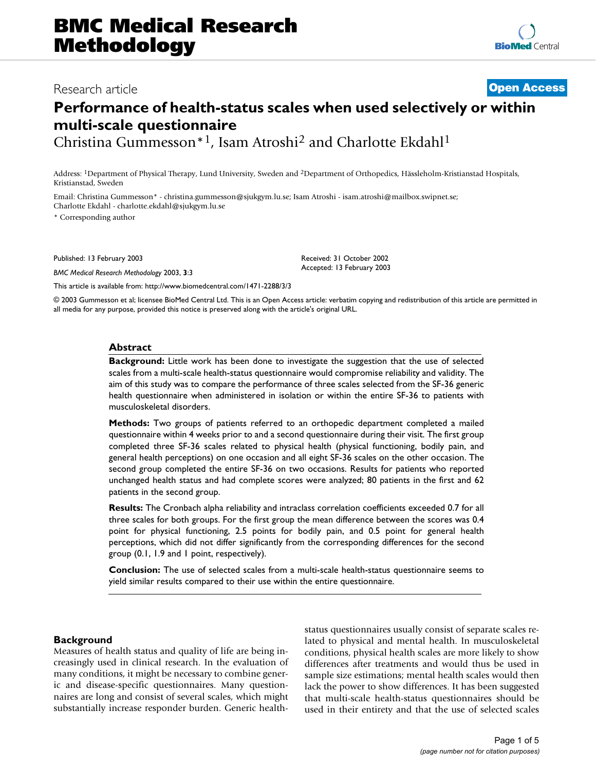# Research article **[Open Access](http://www.biomedcentral.com/info/about/charter/)**

# **Performance of health-status scales when used selectively or within multi-scale questionnaire**

Christina Gummesson\*1, Isam Atroshi2 and Charlotte Ekdahl1

Address: 1Department of Physical Therapy, Lund University, Sweden and 2Department of Orthopedics, Hässleholm-Kristianstad Hospitals, Kristianstad, Sweden

Email: Christina Gummesson\* - christina.gummesson@sjukgym.lu.se; Isam Atroshi - isam.atroshi@mailbox.swipnet.se; Charlotte Ekdahl - charlotte.ekdahl@sjukgym.lu.se

\* Corresponding author

Published: 13 February 2003

*BMC Medical Research Methodology* 2003, **3**:3

[This article is available from: http://www.biomedcentral.com/1471-2288/3/3](http://www.biomedcentral.com/1471-2288/3/3)

© 2003 Gummesson et al; licensee BioMed Central Ltd. This is an Open Access article: verbatim copying and redistribution of this article are permitted in all media for any purpose, provided this notice is preserved along with the article's original URL.

Received: 31 October 2002 Accepted: 13 February 2003

#### **Abstract**

**Background:** Little work has been done to investigate the suggestion that the use of selected scales from a multi-scale health-status questionnaire would compromise reliability and validity. The aim of this study was to compare the performance of three scales selected from the SF-36 generic health questionnaire when administered in isolation or within the entire SF-36 to patients with musculoskeletal disorders.

**Methods:** Two groups of patients referred to an orthopedic department completed a mailed questionnaire within 4 weeks prior to and a second questionnaire during their visit. The first group completed three SF-36 scales related to physical health (physical functioning, bodily pain, and general health perceptions) on one occasion and all eight SF-36 scales on the other occasion. The second group completed the entire SF-36 on two occasions. Results for patients who reported unchanged health status and had complete scores were analyzed; 80 patients in the first and 62 patients in the second group.

**Results:** The Cronbach alpha reliability and intraclass correlation coefficients exceeded 0.7 for all three scales for both groups. For the first group the mean difference between the scores was 0.4 point for physical functioning, 2.5 points for bodily pain, and 0.5 point for general health perceptions, which did not differ significantly from the corresponding differences for the second group (0.1, 1.9 and 1 point, respectively).

**Conclusion:** The use of selected scales from a multi-scale health-status questionnaire seems to yield similar results compared to their use within the entire questionnaire.

#### **Background**

Measures of health status and quality of life are being increasingly used in clinical research. In the evaluation of many conditions, it might be necessary to combine generic and disease-specific questionnaires. Many questionnaires are long and consist of several scales, which might substantially increase responder burden. Generic healthstatus questionnaires usually consist of separate scales related to physical and mental health. In musculoskeletal conditions, physical health scales are more likely to show differences after treatments and would thus be used in sample size estimations; mental health scales would then lack the power to show differences. It has been suggested that multi-scale health-status questionnaires should be used in their entirety and that the use of selected scales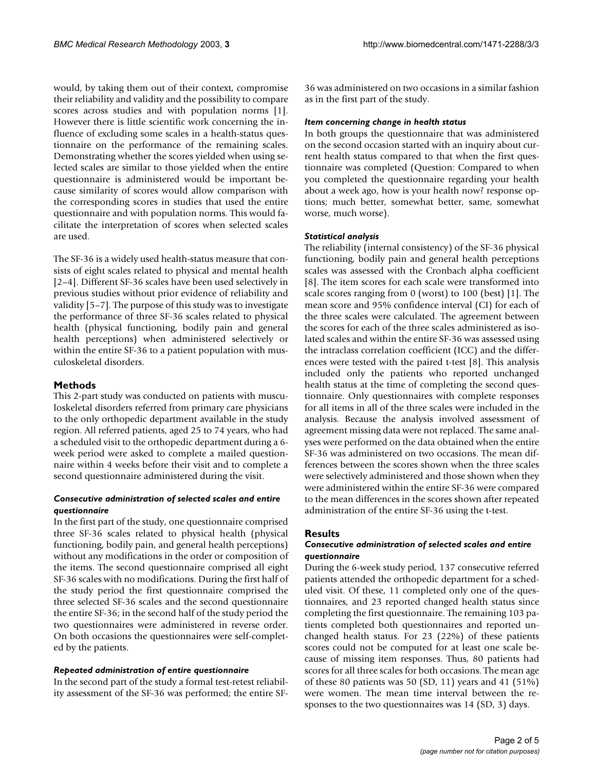would, by taking them out of their context, compromise their reliability and validity and the possibility to compare scores across studies and with population norms [1]. However there is little scientific work concerning the influence of excluding some scales in a health-status questionnaire on the performance of the remaining scales. Demonstrating whether the scores yielded when using selected scales are similar to those yielded when the entire questionnaire is administered would be important because similarity of scores would allow comparison with the corresponding scores in studies that used the entire questionnaire and with population norms. This would facilitate the interpretation of scores when selected scales are used.

The SF-36 is a widely used health-status measure that consists of eight scales related to physical and mental health [2–4]. Different SF-36 scales have been used selectively in previous studies without prior evidence of reliability and validity [5–7]. The purpose of this study was to investigate the performance of three SF-36 scales related to physical health (physical functioning, bodily pain and general health perceptions) when administered selectively or within the entire SF-36 to a patient population with musculoskeletal disorders.

# **Methods**

This 2-part study was conducted on patients with musculoskeletal disorders referred from primary care physicians to the only orthopedic department available in the study region. All referred patients, aged 25 to 74 years, who had a scheduled visit to the orthopedic department during a 6 week period were asked to complete a mailed questionnaire within 4 weeks before their visit and to complete a second questionnaire administered during the visit.

#### *Consecutive administration of selected scales and entire questionnaire*

In the first part of the study, one questionnaire comprised three SF-36 scales related to physical health (physical functioning, bodily pain, and general health perceptions) without any modifications in the order or composition of the items. The second questionnaire comprised all eight SF-36 scales with no modifications. During the first half of the study period the first questionnaire comprised the three selected SF-36 scales and the second questionnaire the entire SF-36; in the second half of the study period the two questionnaires were administered in reverse order. On both occasions the questionnaires were self-completed by the patients.

#### *Repeated administration of entire questionnaire*

In the second part of the study a formal test-retest reliability assessment of the SF-36 was performed; the entire SF- 36 was administered on two occasions in a similar fashion as in the first part of the study.

#### *Item concerning change in health status*

In both groups the questionnaire that was administered on the second occasion started with an inquiry about current health status compared to that when the first questionnaire was completed (Question: Compared to when you completed the questionnaire regarding your health about a week ago, how is your health now? response options; much better, somewhat better, same, somewhat worse, much worse).

#### *Statistical analysis*

The reliability (internal consistency) of the SF-36 physical functioning, bodily pain and general health perceptions scales was assessed with the Cronbach alpha coefficient [8]. The item scores for each scale were transformed into scale scores ranging from 0 (worst) to 100 (best) [1]. The mean score and 95% confidence interval (CI) for each of the three scales were calculated. The agreement between the scores for each of the three scales administered as isolated scales and within the entire SF-36 was assessed using the intraclass correlation coefficient (ICC) and the differences were tested with the paired t-test [8]. This analysis included only the patients who reported unchanged health status at the time of completing the second questionnaire. Only questionnaires with complete responses for all items in all of the three scales were included in the analysis. Because the analysis involved assessment of agreement missing data were not replaced. The same analyses were performed on the data obtained when the entire SF-36 was administered on two occasions. The mean differences between the scores shown when the three scales were selectively administered and those shown when they were administered within the entire SF-36 were compared to the mean differences in the scores shown after repeated administration of the entire SF-36 using the t-test.

#### **Results**

#### *Consecutive administration of selected scales and entire questionnaire*

During the 6-week study period, 137 consecutive referred patients attended the orthopedic department for a scheduled visit. Of these, 11 completed only one of the questionnaires, and 23 reported changed health status since completing the first questionnaire. The remaining 103 patients completed both questionnaires and reported unchanged health status. For 23 (22%) of these patients scores could not be computed for at least one scale because of missing item responses. Thus, 80 patients had scores for all three scales for both occasions. The mean age of these 80 patients was 50 (SD, 11) years and 41 (51%) were women. The mean time interval between the responses to the two questionnaires was 14 (SD, 3) days.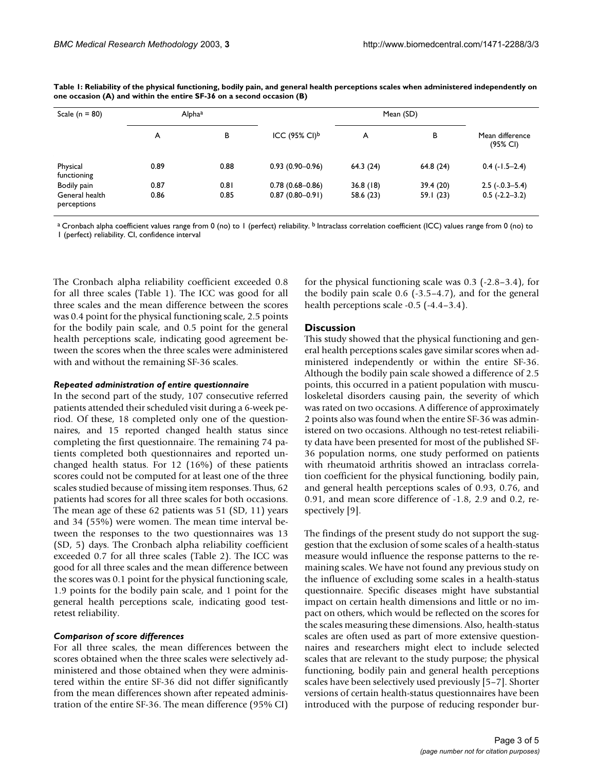| Scale ( $n = 80$ )            | Alphaa |      |                              |           |           |                                        |
|-------------------------------|--------|------|------------------------------|-----------|-----------|----------------------------------------|
|                               | A      | В    | ICC $(95\%$ CI) <sup>b</sup> | A         | В         | Mean difference<br>$(95\% \text{ Cl})$ |
| Physical<br>functioning       | 0.89   | 0.88 | $0.93(0.90 - 0.96)$          | 64.3(24)  | 64.8(24)  | $0.4$ ( $-1.5-2.4$ )                   |
| Bodily pain                   | 0.87   | 0.81 | $0.78(0.68 - 0.86)$          | 36.8(18)  | 39.4 (20) | $2.5$ ( $-.0.3-5.4$ )                  |
| General health<br>perceptions | 0.86   | 0.85 | $0.87(0.80 - 0.91)$          | 58.6 (23) | 59.1(23)  | $0.5(-2.2-3.2)$                        |

<span id="page-2-0"></span>**Table 1: Reliability of the physical functioning, bodily pain, and general health perceptions scales when administered independently on one occasion (A) and within the entire SF-36 on a second occasion (B)**

<sup>a</sup> Cronbach alpha coefficient values range from 0 (no) to 1 (perfect) reliability. <sup>b</sup> Intraclass correlation coefficient (ICC) values range from 0 (no) to 1 (perfect) reliability. CI, confidence interval

The Cronbach alpha reliability coefficient exceeded 0.8 for all three scales (Table [1](#page-2-0)). The ICC was good for all three scales and the mean difference between the scores was 0.4 point for the physical functioning scale, 2.5 points for the bodily pain scale, and 0.5 point for the general health perceptions scale, indicating good agreement between the scores when the three scales were administered with and without the remaining SF-36 scales.

#### *Repeated administration of entire questionnaire*

In the second part of the study, 107 consecutive referred patients attended their scheduled visit during a 6-week period. Of these, 18 completed only one of the questionnaires, and 15 reported changed health status since completing the first questionnaire. The remaining 74 patients completed both questionnaires and reported unchanged health status. For 12 (16%) of these patients scores could not be computed for at least one of the three scales studied because of missing item responses. Thus, 62 patients had scores for all three scales for both occasions. The mean age of these 62 patients was 51 (SD, 11) years and 34 (55%) were women. The mean time interval between the responses to the two questionnaires was 13 (SD, 5) days. The Cronbach alpha reliability coefficient exceeded 0.7 for all three scales (Table [2](#page-3-0)). The ICC was good for all three scales and the mean difference between the scores was 0.1 point for the physical functioning scale, 1.9 points for the bodily pain scale, and 1 point for the general health perceptions scale, indicating good testretest reliability.

# *Comparison of score differences*

For all three scales, the mean differences between the scores obtained when the three scales were selectively administered and those obtained when they were administered within the entire SF-36 did not differ significantly from the mean differences shown after repeated administration of the entire SF-36. The mean difference (95% CI)

for the physical functioning scale was 0.3 (-2.8–3.4), for the bodily pain scale 0.6 (-3.5–4.7), and for the general health perceptions scale -0.5 (-4.4–3.4).

# **Discussion**

This study showed that the physical functioning and general health perceptions scales gave similar scores when administered independently or within the entire SF-36. Although the bodily pain scale showed a difference of 2.5 points, this occurred in a patient population with musculoskeletal disorders causing pain, the severity of which was rated on two occasions. A difference of approximately 2 points also was found when the entire SF-36 was administered on two occasions. Although no test-retest reliability data have been presented for most of the published SF-36 population norms, one study performed on patients with rheumatoid arthritis showed an intraclass correlation coefficient for the physical functioning, bodily pain, and general health perceptions scales of 0.93, 0.76, and 0.91, and mean score difference of -1.8, 2.9 and 0.2, respectively [9].

The findings of the present study do not support the suggestion that the exclusion of some scales of a health-status measure would influence the response patterns to the remaining scales. We have not found any previous study on the influence of excluding some scales in a health-status questionnaire. Specific diseases might have substantial impact on certain health dimensions and little or no impact on others, which would be reflected on the scores for the scales measuring these dimensions. Also, health-status scales are often used as part of more extensive questionnaires and researchers might elect to include selected scales that are relevant to the study purpose; the physical functioning, bodily pain and general health perceptions scales have been selectively used previously [5–7]. Shorter versions of certain health-status questionnaires have been introduced with the purpose of reducing responder bur-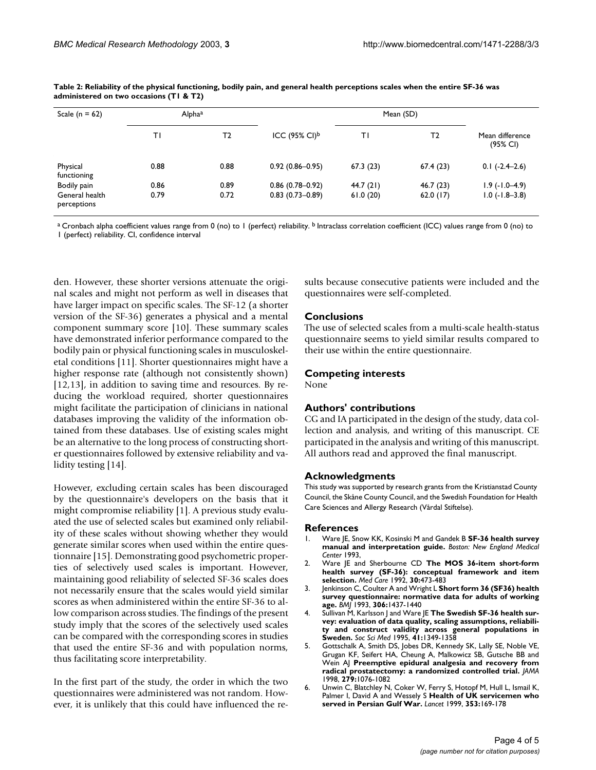| Scale ( $n = 62$ )            | Alphaa |                |                              |          |          |                             |
|-------------------------------|--------|----------------|------------------------------|----------|----------|-----------------------------|
|                               | ΤI     | T <sub>2</sub> | ICC $(95\%$ CI) <sup>b</sup> | T١       | T2       | Mean difference<br>(95% CI) |
| Physical<br>functioning       | 0.88   | 0.88           | $0.92(0.86 - 0.95)$          | 67.3(23) | 67.4(23) | $0.1$ $(-2.4-2.6)$          |
| Bodily pain                   | 0.86   | 0.89           | $0.86(0.78 - 0.92)$          | 44.7(21) | 46.7(23) | $1.9$ ( $-1.0-4.9$ )        |
| General health<br>perceptions | 0.79   | 0.72           | $0.83(0.73 - 0.89)$          | 61.0(20) | 62.0(17) | $1.0$ ( $-1.8-3.8$ )        |

<span id="page-3-0"></span>**Table 2: Reliability of the physical functioning, bodily pain, and general health perceptions scales when the entire SF-36 was administered on two occasions (T1 & T2)**

<sup>a</sup> Cronbach alpha coefficient values range from 0 (no) to 1 (perfect) reliability. <sup>b</sup> Intraclass correlation coefficient (ICC) values range from 0 (no) to 1 (perfect) reliability. CI, confidence interval

den. However, these shorter versions attenuate the original scales and might not perform as well in diseases that have larger impact on specific scales. The SF-12 (a shorter version of the SF-36) generates a physical and a mental component summary score [10]. These summary scales have demonstrated inferior performance compared to the bodily pain or physical functioning scales in musculoskeletal conditions [11]. Shorter questionnaires might have a higher response rate (although not consistently shown) [12,13], in addition to saving time and resources. By reducing the workload required, shorter questionnaires might facilitate the participation of clinicians in national databases improving the validity of the information obtained from these databases. Use of existing scales might be an alternative to the long process of constructing shorter questionnaires followed by extensive reliability and validity testing [14].

However, excluding certain scales has been discouraged by the questionnaire's developers on the basis that it might compromise reliability [1]. A previous study evaluated the use of selected scales but examined only reliability of these scales without showing whether they would generate similar scores when used within the entire questionnaire [15]. Demonstrating good psychometric properties of selectively used scales is important. However, maintaining good reliability of selected SF-36 scales does not necessarily ensure that the scales would yield similar scores as when administered within the entire SF-36 to allow comparison across studies. The findings of the present study imply that the scores of the selectively used scales can be compared with the corresponding scores in studies that used the entire SF-36 and with population norms, thus facilitating score interpretability.

In the first part of the study, the order in which the two questionnaires were administered was not random. However, it is unlikely that this could have influenced the results because consecutive patients were included and the questionnaires were self-completed.

#### **Conclusions**

The use of selected scales from a multi-scale health-status questionnaire seems to yield similar results compared to their use within the entire questionnaire.

# **Competing interests**

None

# **Authors' contributions**

CG and IA participated in the design of the study, data collection and analysis, and writing of this manuscript. CE participated in the analysis and writing of this manuscript. All authors read and approved the final manuscript.

# **Acknowledgments**

This study was supported by research grants from the Kristianstad County Council, the Skåne County Council, and the Swedish Foundation for Health Care Sciences and Allergy Research (Vårdal Stiftelse).

#### **References**

- 1. Ware JE, Snow KK, Kosinski M and Gandek B **SF-36 health survey manual and interpretation guide.** *Boston: New England Medical Center* 1993,
- 2. Ware JE and Sherbourne CD [The MOS 36-item short-form](http://www.ncbi.nlm.nih.gov/entrez/query.fcgi?cmd=Retrieve&db=PubMed&dopt=Abstract&list_uids=1593914) **[health survey \(SF-36\): conceptual framework and item](http://www.ncbi.nlm.nih.gov/entrez/query.fcgi?cmd=Retrieve&db=PubMed&dopt=Abstract&list_uids=1593914) [selection.](http://www.ncbi.nlm.nih.gov/entrez/query.fcgi?cmd=Retrieve&db=PubMed&dopt=Abstract&list_uids=1593914)** *Med Care* 1992, **30:**473-483
- 3. Jenkinson C, Coulter A and Wright L **[Short form 36 \(SF36\) health](http://www.ncbi.nlm.nih.gov/entrez/query.fcgi?cmd=Retrieve&db=PubMed&dopt=Abstract&list_uids=8518639) [survey questionnaire: normative data for adults of working](http://www.ncbi.nlm.nih.gov/entrez/query.fcgi?cmd=Retrieve&db=PubMed&dopt=Abstract&list_uids=8518639) [age.](http://www.ncbi.nlm.nih.gov/entrez/query.fcgi?cmd=Retrieve&db=PubMed&dopt=Abstract&list_uids=8518639)** *BMJ* 1993, **306:**1437-1440
- 4. Sullivan M, Karlsson J and Ware JE **[The Swedish SF-36 health sur](http://www.ncbi.nlm.nih.gov/entrez/query.fcgi?cmd=Retrieve&db=PubMed&dopt=Abstract&list_uids=8560302)vey: evaluation of data quality, scaling assumptions, reliabili[ty and construct validity across general populations in](http://www.ncbi.nlm.nih.gov/entrez/query.fcgi?cmd=Retrieve&db=PubMed&dopt=Abstract&list_uids=8560302) [Sweden.](http://www.ncbi.nlm.nih.gov/entrez/query.fcgi?cmd=Retrieve&db=PubMed&dopt=Abstract&list_uids=8560302)** *Soc Sci Med* 1995, **41:**1349-1358
- 5. Gottschalk A, Smith DS, Jobes DR, Kennedy SK, Lally SE, Noble VE, Grugan KF, Seifert HA, Cheung A, Malkowicz SB, Gutsche BB and Wein AJ **[Preemptive epidural analgesia and recovery from](http://www.ncbi.nlm.nih.gov/entrez/query.fcgi?cmd=Retrieve&db=PubMed&dopt=Abstract&list_uids=9546566) [radical prostatectomy: a randomized controlled trial.](http://www.ncbi.nlm.nih.gov/entrez/query.fcgi?cmd=Retrieve&db=PubMed&dopt=Abstract&list_uids=9546566)** *JAMA* 1998, **279:**1076-1082
- 6. Unwin C, Blatchley N, Coker W, Ferry S, Hotopf M, Hull L, Ismail K, Palmer I, David A and Wessely S **[Health of UK servicemen who](http://www.ncbi.nlm.nih.gov/entrez/query.fcgi?cmd=Retrieve&db=PubMed&dopt=Abstract&list_uids=9923871) [served in Persian Gulf War.](http://www.ncbi.nlm.nih.gov/entrez/query.fcgi?cmd=Retrieve&db=PubMed&dopt=Abstract&list_uids=9923871)** *Lancet* 1999, **353:**169-178